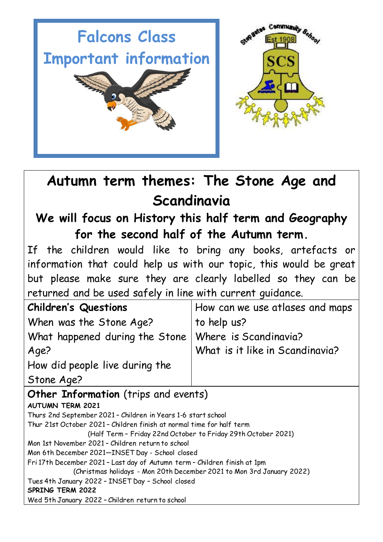



## **Autumn term themes: The Stone Age and Scandinavia**

### **We will focus on History this half term and Geography for the second half of the Autumn term.**

If the children would like to bring any books, artefacts or information that could help us with our topic, this would be great but please make sure they are clearly labelled so they can be returned and be used safely in line with current guidance.

| <b>Children's Questions</b>                            | How can we use atlases and maps |
|--------------------------------------------------------|---------------------------------|
| When was the Stone Age?                                | to help us?                     |
| What happened during the Stone   Where is Scandinavia? |                                 |
| Age?                                                   | What is it like in Scandinavia? |
| How did people live during the                         |                                 |
| Stone Age?                                             |                                 |

### **Other Information** (trips and events) **AUTUMN TERM 2021** Thurs 2nd September 2021 – Children in Years 1-6 start school Thur 21st October 2021 – Children finish at normal time for half term (Half Term – Friday 22nd October to Friday 29th October 2021) Mon 1st November 2021 – Children return to school Mon 6th December 2021—INSET Day - School closed Fri 17th December 2021 – Last day of Autumn term – Children finish at 1pm (Christmas holidays - Mon 20th December 2021 to Mon 3rd January 2022) Tues 4th January 2022 – INSET Day – School closed **SPRING TERM 2022** Wed 5th January 2022 – Children return to school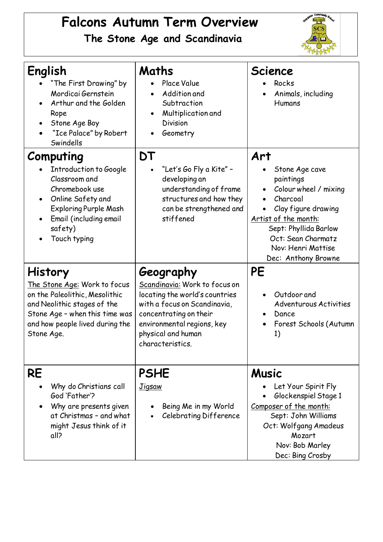# **Falcons Autumn Term Overview**

**The Stone Age and Scandinavia**



| English<br>"The First Drawing" by<br>Mordicai Gernstein<br>Arthur and the Golden<br>$\bullet$<br>Rope<br>Stone Age Boy<br>"Ice Palace" by Robert<br>Swindells                                              | Maths<br>Place Value<br>Addition and<br>Subtraction<br>Multiplication and<br><b>Division</b><br>Geometry<br>$\bullet$                                                                                          | <b>Science</b><br>Rocks<br>Animals, including<br>Humans                                                                                                                                                                         |
|------------------------------------------------------------------------------------------------------------------------------------------------------------------------------------------------------------|----------------------------------------------------------------------------------------------------------------------------------------------------------------------------------------------------------------|---------------------------------------------------------------------------------------------------------------------------------------------------------------------------------------------------------------------------------|
| Computing<br>Introduction to Google<br>Classroom and<br>Chromebook use<br>Online Safety and<br>$\bullet$<br><b>Exploring Purple Mash</b><br>Email (including email<br>$\bullet$<br>safety)<br>Touch typing | DT<br>"Let's Go Fly a Kite" -<br>developing an<br>understanding of frame<br>structures and how they<br>can be strengthened and<br>stiffened                                                                    | Art<br>Stone Age cave<br>paintings<br>Colour wheel / mixing<br>$\bullet$<br>Charcoal<br>Clay figure drawing<br>Artist of the month:<br>Sept: Phyllida Barlow<br>Oct: Sean Charmatz<br>Nov: Henri Mattise<br>Dec: Anthony Browne |
| History<br>The Stone Age: Work to focus<br>on the Paleolithic, Mesolithic<br>and Neolithic stages of the<br>Stone Age - when this time was<br>and how people lived during the<br>Stone Age.                | Geography<br>Scandinavia: Work to focus on<br>locating the world's countries<br>with a focus on Scandinavia,<br>concentrating on their<br>environmental regions, key<br>physical and human<br>characteristics. | PE<br>Outdoor and<br>$\bullet$<br><b>Adventurous Activities</b><br>Dance<br>Forest Schools (Autumn<br>1)                                                                                                                        |
| RE<br>Why do Christians call<br>God 'Father'?<br>Why are presents given<br>at Christmas - and what<br>might Jesus think of it<br>all?                                                                      | <b>PSHE</b><br><b>Jigsaw</b><br>Being Me in my World<br>Celebrating Difference                                                                                                                                 | <b>Music</b><br>Let Your Spirit Fly<br>Glockenspiel Stage 1<br>Composer of the month:<br>Sept: John Williams<br>Oct: Wolfgang Amadeus<br>Mozart<br>Nov: Bob Marley<br>Dec: Bing Crosby                                          |